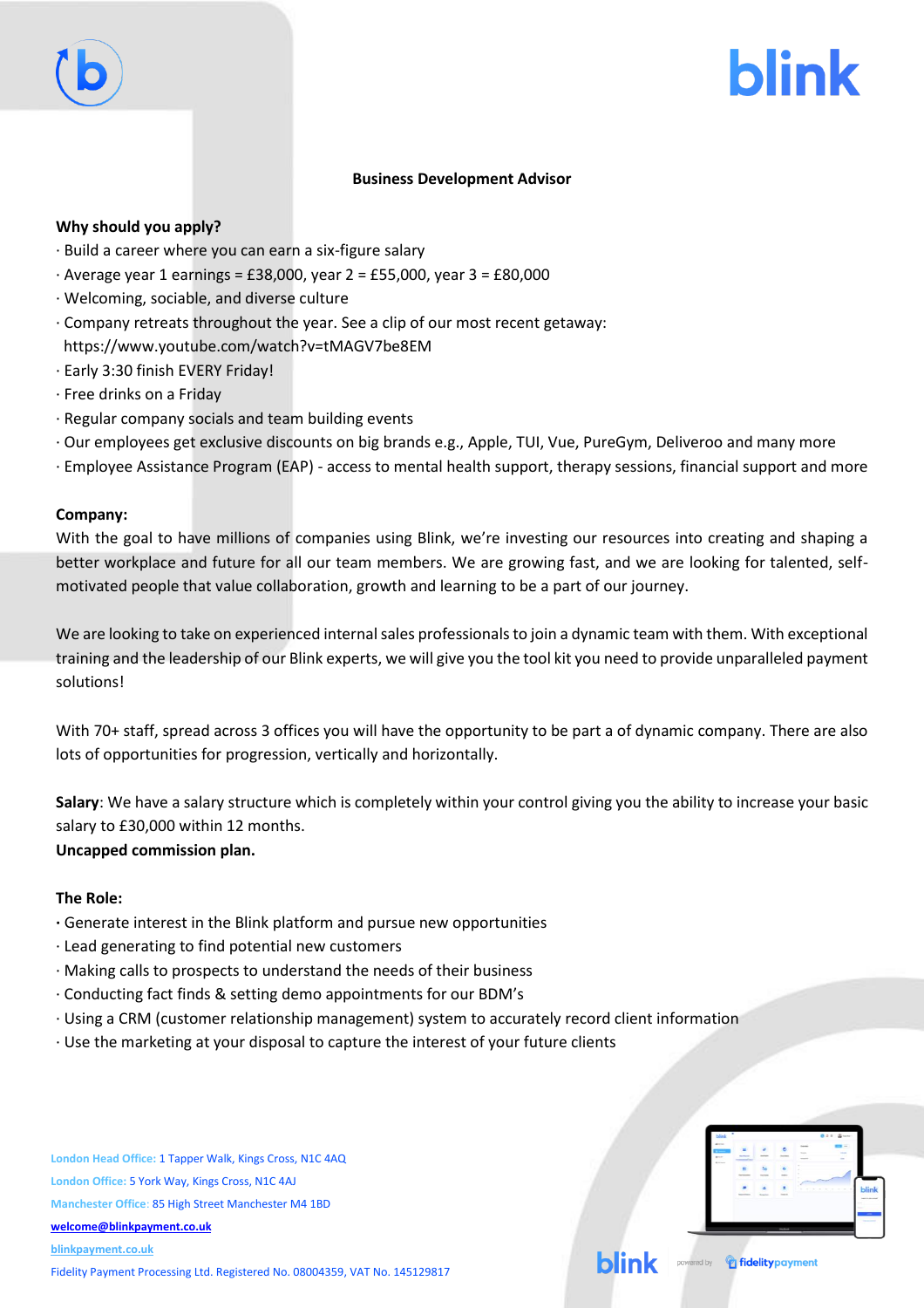

### **Business Development Advisor**

## **Why should you apply?**

- · Build a career where you can earn a six-figure salary
- · Average year 1 earnings = £38,000, year 2 = £55,000, year 3 = £80,000
- · Welcoming, sociable, and diverse culture
- · Company retreats throughout the year. See a clip of our most recent getaway: https://www.youtube.com/watch?v=tMAGV7be8EM
- · Early 3:30 finish EVERY Friday!
- · Free drinks on a Friday
- · Regular company socials and team building events
- · Our employees get exclusive discounts on big brands e.g., Apple, TUI, Vue, PureGym, Deliveroo and many more
- · Employee Assistance Program (EAP) access to mental health support, therapy sessions, financial support and more

## **Company:**

With the goal to have millions of companies using Blink, we're investing our resources into creating and shaping a better workplace and future for all our team members. We are growing fast, and we are looking for talented, selfmotivated people that value collaboration, growth and learning to be a part of our journey.

We are looking to take on experienced internal sales professionals to join a dynamic team with them. With exceptional training and the leadership of our Blink experts, we will give you the tool kit you need to provide unparalleled payment solutions!

With 70+ staff, spread across 3 offices you will have the opportunity to be part a of dynamic company. There are also lots of opportunities for progression, vertically and horizontally.

**Salary**: We have a salary structure which is completely within your control giving you the ability to increase your basic salary to £30,000 within 12 months.

## **Uncapped commission plan.**

## **The Role:**

- **·** Generate interest in the Blink platform and pursue new opportunities
- · Lead generating to find potential new customers
- · Making calls to prospects to understand the needs of their business
- · Conducting fact finds & setting demo appointments for our BDM's
- · Using a CRM (customer relationship management) system to accurately record client information
- · Use the marketing at your disposal to capture the interest of your future clients

**London Head Office:** 1 Tapper Walk, Kings Cross, N1C 4AQ **London Office:** 5 York Way, Kings Cross, N1C 4AJ **Manchester Office**: 85 High Street Manchester M4 1BD **[welcome@blinkpayment.co.uk](mailto:welcome@blinkpayment.co.uk) [blinkpayment.co.uk](http://www.blinkpayment.co.uk/)**

Fidelity Payment Processing Ltd. Registered No. 08004359, VAT No. 145129817